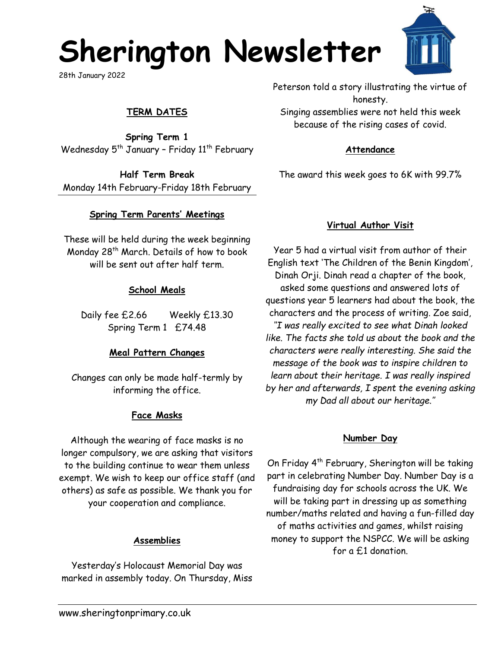# **Sherington Newsletter**

28th January 2022

## **TERM DATES**

**Spring Term 1** Wednesday  $5<sup>th</sup>$  January - Friday  $11<sup>th</sup>$  February

**Half Term Break** Monday 14th February-Friday 18th February

### **Spring Term Parents' Meetings**

These will be held during the week beginning Monday 28<sup>th</sup> March. Details of how to book will be sent out after half term.

### **School Meals**

Daily fee £2.66 Weekly £13.30 Spring Term 1 £74.48

### **Meal Pattern Changes**

Changes can only be made half-termly by informing the office.

### **Face Masks**

Although the wearing of face masks is no longer compulsory, we are asking that visitors to the building continue to wear them unless exempt. We wish to keep our office staff (and others) as safe as possible. We thank you for your cooperation and compliance.

#### **Assemblies**

Yesterday's Holocaust Memorial Day was marked in assembly today. On Thursday, Miss Peterson told a story illustrating the virtue of honesty. Singing assemblies were not held this week because of the rising cases of covid.

#### **Attendance**

The award this week goes to 6K with 99.7%

## **Virtual Author Visit**

Year 5 had a virtual visit from author of their English text 'The Children of the Benin Kingdom', Dinah Orji. Dinah read a chapter of the book, asked some questions and answered lots of questions year 5 learners had about the book, the characters and the process of writing. Zoe said, *''I was really excited to see what Dinah looked like. The facts she told us about the book and the characters were really interesting. She said the message of the book was to inspire children to learn about their heritage. I was really inspired by her and afterwards, I spent the evening asking my Dad all about our heritage.''*

## **Number Day**

On Friday 4th February, Sherington will be taking part in celebrating Number Day. Number Day is a fundraising day for schools across the UK. We will be taking part in dressing up as something number/maths related and having a fun-filled day of maths activities and games, whilst raising money to support the NSPCC. We will be asking for a £1 donation.



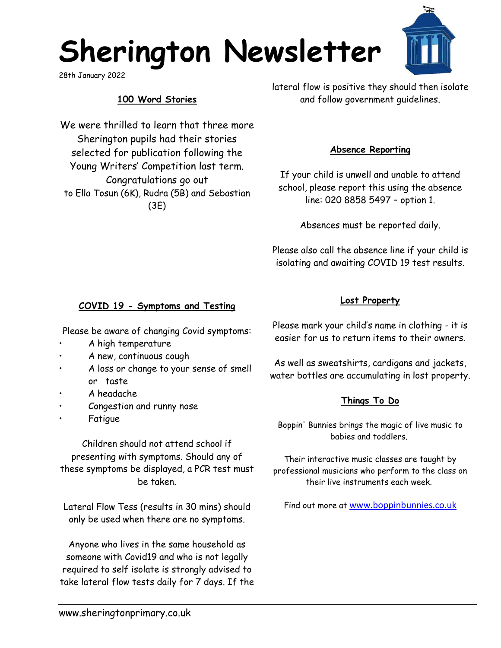# **Sherington Newsletter**

28th January 2022

## **100 Word Stories**

We were thrilled to learn that three more Sherington pupils had their stories selected for publication following the Young Writers' Competition last term. Congratulations go out to Ella Tosun (6K), Rudra (5B) and Sebastian (3E)

lateral flow is positive they should then isolate and follow government guidelines.

#### **Absence Reporting**

If your child is unwell and unable to attend school, please report this using the absence line: 020 8858 5497 – option 1.

Absences must be reported daily.

Please also call the absence line if your child is isolating and awaiting COVID 19 test results.

## **COVID 19 - Symptoms and Testing**

Please be aware of changing Covid symptoms:

- A high temperature
- A new, continuous cough
- A loss or change to your sense of smell or taste
- A headache
- Congestion and runny nose
- **Fatigue**

Children should not attend school if presenting with symptoms. Should any of these symptoms be displayed, a PCR test must be taken.

Lateral Flow Tess (results in 30 mins) should only be used when there are no symptoms.

Anyone who lives in the same household as someone with Covid19 and who is not legally required to self isolate is strongly advised to take lateral flow tests daily for 7 days. If the Please mark your child's name in clothing - it is easier for us to return items to their owners.

**Lost Property**

As well as sweatshirts, cardigans and jackets, water bottles are accumulating in lost property.

## **Things To Do**

Boppin' Bunnies brings the magic of live music to babies and toddlers.

Their interactive music classes are taught by professional musicians who perform to the class on their live instruments each week.

Find out more at [www.boppinbunnies.co.uk](https://c93466f214d12f7eb925972f4193a1b8.tinyemails.com/f84be720cbf564809d75af16e283da57/59fd963248105c84b1b4b8a0c952bc84.html)